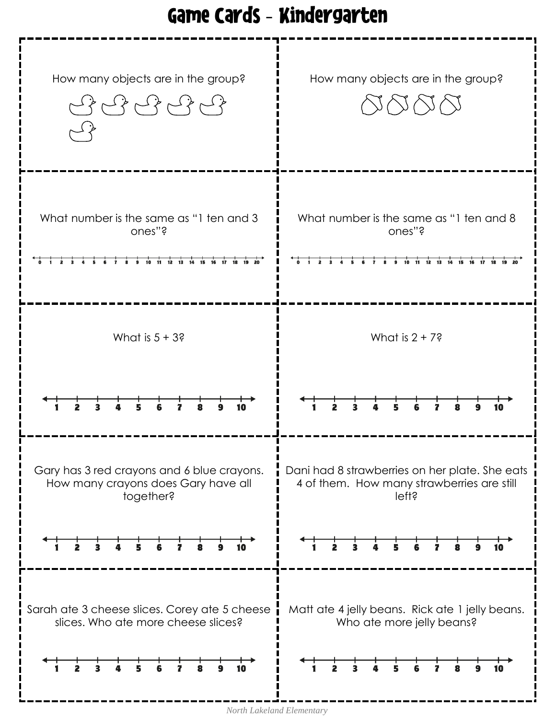#### Game Cards - Kindergarten



*North Lakeland Elementary*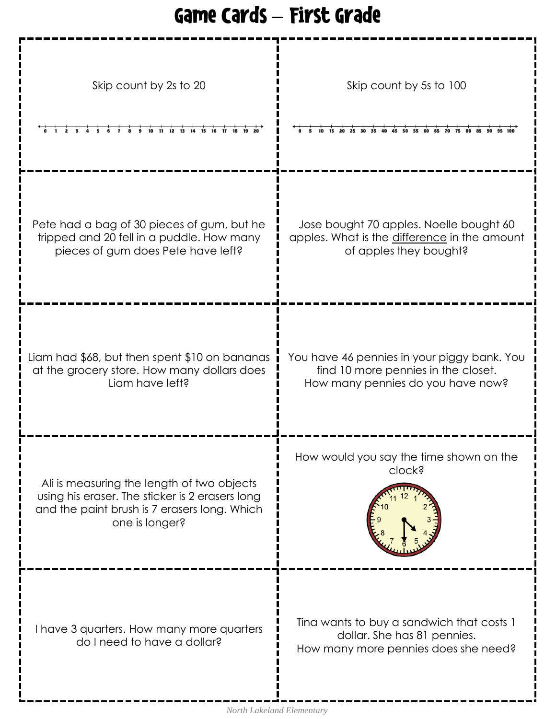## Game Cards – First Grade

| Skip count by 2s to 20<br>10 11 12 13 14<br>15 16 17                                                                                                            | Skip count by 5s to 100<br>30 35 40 45 50 55 60                                                                         |
|-----------------------------------------------------------------------------------------------------------------------------------------------------------------|-------------------------------------------------------------------------------------------------------------------------|
| Pete had a bag of 30 pieces of gum, but he<br>tripped and 20 fell in a puddle. How many<br>pieces of gum does Pete have left?                                   | Jose bought 70 apples. Noelle bought 60<br>apples. What is the difference in the amount<br>of apples they bought?       |
| Liam had \$68, but then spent \$10 on bananas<br>at the grocery store. How many dollars does<br>Liam have left?                                                 | You have 46 pennies in your piggy bank. You<br>find 10 more pennies in the closet.<br>How many pennies do you have now? |
| Ali is measuring the length of two objects<br>using his eraser. The sticker is 2 erasers long<br>and the paint brush is 7 erasers long. Which<br>one is longer? | How would you say the time shown on the<br>clock?                                                                       |
| I have 3 quarters. How many more quarters<br>do I need to have a dollar?                                                                                        | Tina wants to buy a sandwich that costs 1<br>dollar. She has 81 pennies.<br>How many more pennies does she need?        |

I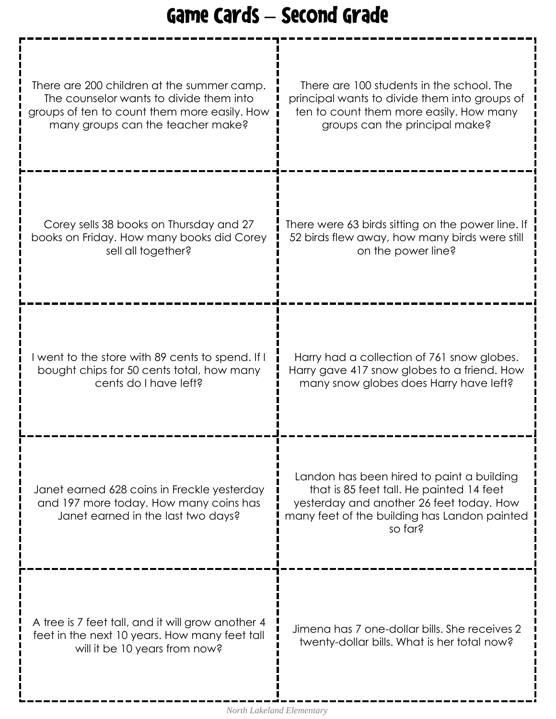# Game Cards – Second Grade

| There are 200 children at the summer camp.                                                                                          | There are 100 students in the school. The                                                                                                                                                    |
|-------------------------------------------------------------------------------------------------------------------------------------|----------------------------------------------------------------------------------------------------------------------------------------------------------------------------------------------|
| The counselor wants to divide them into                                                                                             | principal wants to divide them into groups of                                                                                                                                                |
| groups of ten to count them more easily. How                                                                                        | ten to count them more easily. How many                                                                                                                                                      |
| many groups can the teacher make?                                                                                                   | groups can the principal make?                                                                                                                                                               |
| Corey sells 38 books on Thursday and 27                                                                                             | There were 63 birds sitting on the power line. If                                                                                                                                            |
| books on Friday. How many books did Corey                                                                                           | 52 birds flew away, how many birds were still                                                                                                                                                |
| sell all together?                                                                                                                  | on the power line?                                                                                                                                                                           |
| I went to the store with 89 cents to spend. If I                                                                                    | Harry had a collection of 761 snow globes.                                                                                                                                                   |
| bought chips for 50 cents total, how many                                                                                           | Harry gave 417 snow globes to a friend. How                                                                                                                                                  |
| cents do I have left?                                                                                                               | many snow globes does Harry have left?                                                                                                                                                       |
| Janet earned 628 coins in Freckle yesterday<br>and 197 more today. How many coins has<br>Janet earned in the last two days?         | Landon has been hired to paint a building<br>that is 85 feet tall. He painted 14 feet<br>yesterday and another 26 feet today. How<br>many feet of the building has Landon painted<br>so far? |
| A tree is 7 feet tall, and it will grow another 4<br>feet in the next 10 years. How many feet tall<br>will it be 10 years from now? | Jimena has 7 one-dollar bills. She receives 2<br>twenty-dollar bills. What is her total now?                                                                                                 |

Ī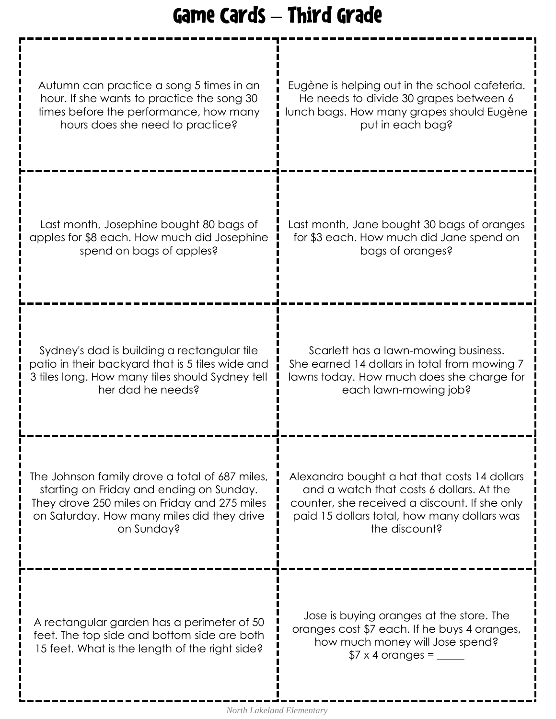# Game Cards – Third Grade

| Autumn can practice a song 5 times in an                                                                                                    | Eugène is helping out in the school cafeteria.                                                                                                                |
|---------------------------------------------------------------------------------------------------------------------------------------------|---------------------------------------------------------------------------------------------------------------------------------------------------------------|
| hour. If she wants to practice the song 30                                                                                                  | He needs to divide 30 grapes between 6                                                                                                                        |
| times before the performance, how many                                                                                                      | lunch bags. How many grapes should Eugène                                                                                                                     |
| hours does she need to practice?                                                                                                            | put in each bag?                                                                                                                                              |
| Last month, Josephine bought 80 bags of                                                                                                     | Last month, Jane bought 30 bags of oranges                                                                                                                    |
| apples for \$8 each. How much did Josephine                                                                                                 | for \$3 each. How much did Jane spend on                                                                                                                      |
| spend on bags of apples?                                                                                                                    | bags of oranges?                                                                                                                                              |
| Sydney's dad is building a rectangular tile                                                                                                 | Scarlett has a lawn-mowing business.                                                                                                                          |
| patio in their backyard that is 5 tiles wide and                                                                                            | She earned 14 dollars in total from mowing 7                                                                                                                  |
| 3 tiles long. How many tiles should Sydney tell                                                                                             | lawns today. How much does she charge for                                                                                                                     |
| her dad he needs?                                                                                                                           | each lawn-mowing job?                                                                                                                                         |
| The Johnson family drove a total of 687 miles,                                                                                              | Alexandra bought a hat that costs 14 dollars                                                                                                                  |
| starting on Friday and ending on Sunday.                                                                                                    | and a watch that costs 6 dollars. At the                                                                                                                      |
| They drove 250 miles on Friday and 275 miles                                                                                                | counter, she received a discount. If she only                                                                                                                 |
| on Saturday. How many miles did they drive                                                                                                  | paid 15 dollars total, how many dollars was                                                                                                                   |
| on Sunday?                                                                                                                                  | the discount?                                                                                                                                                 |
| A rectangular garden has a perimeter of 50<br>feet. The top side and bottom side are both<br>15 feet. What is the length of the right side? | Jose is buying oranges at the store. The<br>oranges cost \$7 each. If he buys 4 oranges,<br>how much money will Jose spend?<br>$$7 \times 4$ oranges = ______ |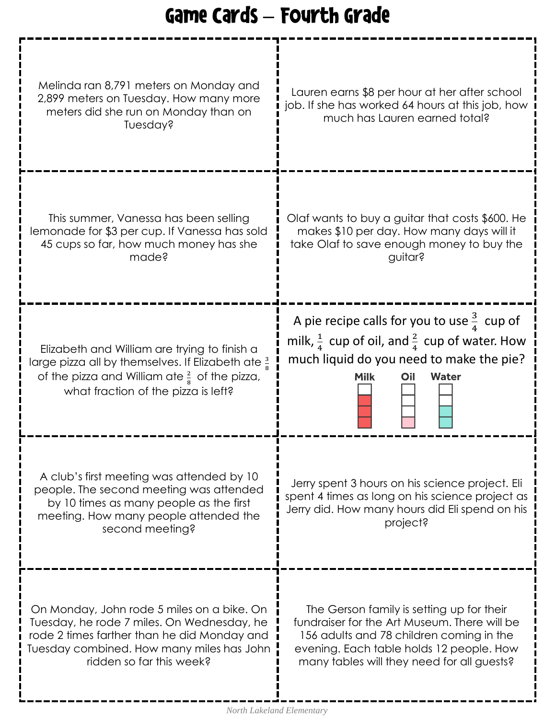## Game Cards – Fourth Grade

| Melinda ran 8,791 meters on Monday and<br>2,899 meters on Tuesday. How many more<br>meters did she run on Monday than on<br>Tuesday?                                                                             | Lauren earns \$8 per hour at her after school<br>job. If she has worked 64 hours at this job, how<br>much has Lauren earned total?                                                                                              |
|------------------------------------------------------------------------------------------------------------------------------------------------------------------------------------------------------------------|---------------------------------------------------------------------------------------------------------------------------------------------------------------------------------------------------------------------------------|
| This summer, Vanessa has been selling<br>lemonade for \$3 per cup. If Vanessa has sold<br>45 cups so far, how much money has she<br>made?                                                                        | Olaf wants to buy a guitar that costs \$600. He<br>makes \$10 per day. How many days will it<br>take Olaf to save enough money to buy the<br>guitar?                                                                            |
| Elizabeth and William are trying to finish a<br>large pizza all by themselves. If Elizabeth ate $\frac{3}{8}$<br>of the pizza and William ate $\frac{2}{8}$ of the pizza,<br>what fraction of the pizza is left? | A pie recipe calls for you to use $\frac{3}{4}$ cup of<br>milk, $\frac{1}{4}$ cup of oil, and $\frac{2}{4}$ cup of water. How<br>much liquid do you need to make the pie?<br><b>Water</b><br>Milk<br>Oil                        |
| A club's first meeting was attended by 10<br>people. The second meeting was attended<br>by 10 times as many people as the first<br>meeting. How many people attended the<br>second meeting?                      | Jerry spent 3 hours on his science project. Eli<br>spent 4 times as long on his science project as<br>Jerry did. How many hours did Eli spend on his<br>project?                                                                |
| On Monday, John rode 5 miles on a bike. On<br>Tuesday, he rode 7 miles. On Wednesday, he<br>rode 2 times farther than he did Monday and<br>Tuesday combined. How many miles has John<br>ridden so far this week? | The Gerson family is setting up for their<br>fundraiser for the Art Museum. There will be<br>156 adults and 78 children coming in the<br>evening. Each table holds 12 people. How<br>many tables will they need for all guests? |

I